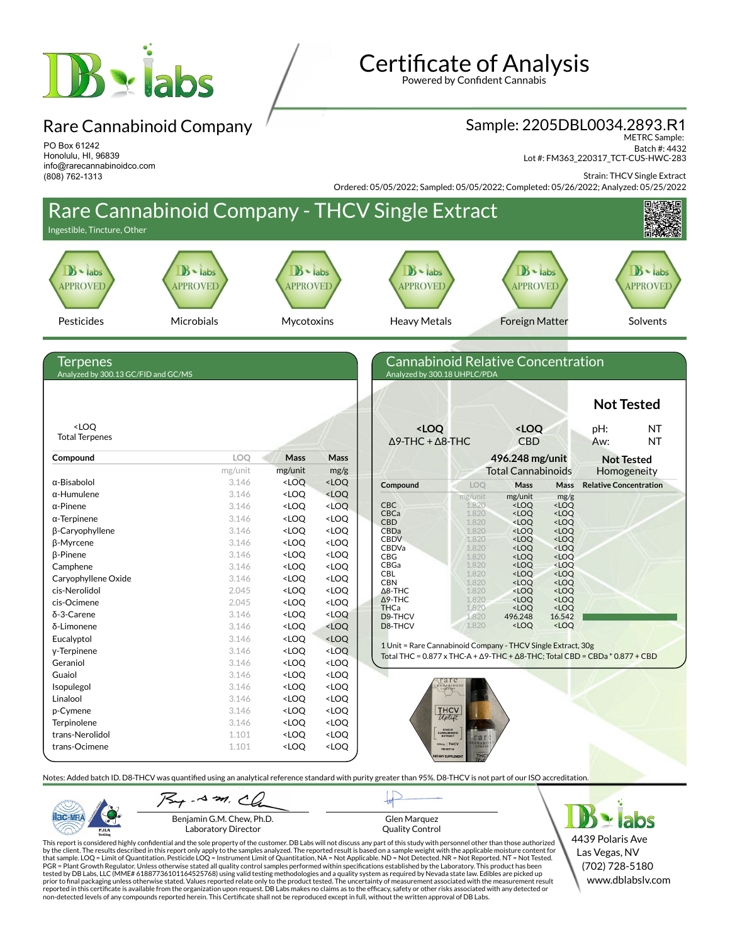

PO Box 61242 Honolulu, HI, 96839 info@rarecannabinoidco.com

(808) 762-1313

Rare Cannabinoid Company

# **Certificate of Analysis**

Powered by Confident Cannabis

#### Sample: 2205DBL0034.2893.R1

METRC Sample: Batch #: 4432 Lot #: FM363\_220317\_TCT-CUS-HWC-283

Strain: THCV Single Extract

Ordered: 05/05/2022; Sampled: 05/05/2022; Completed: 05/26/2022; Analyzed: 05/25/2022



Laboratory Director

PJLA

Glen Marquez Quality Control

4439 Polaris Ave Las Vegas, NV (702) 728-5180 www.dblabslv.com

This report is considered highly confidential and the sole property of the customer. DB Labs will not discuss any part of this study with personnel other than those authorized<br>by the client. The results described in this PGR = Plant Growth Regulator. Unless otherwise stated all quality control samples performed within specifications established by the Laboratory. This product has been tested by DB Labs, LLC (MME# 61887736101164525768) using valid testing methodologies and a quality system as required by Nevada state law. Edibles are picked up<br>prior to final packaging unless otherwise stated. Values repo reported in this certificate is available from the organization upon request. DB Labs makes no claims as to the efficacy, safety or other risks associated with any detected or<br>non-detected levels of any compounds reported